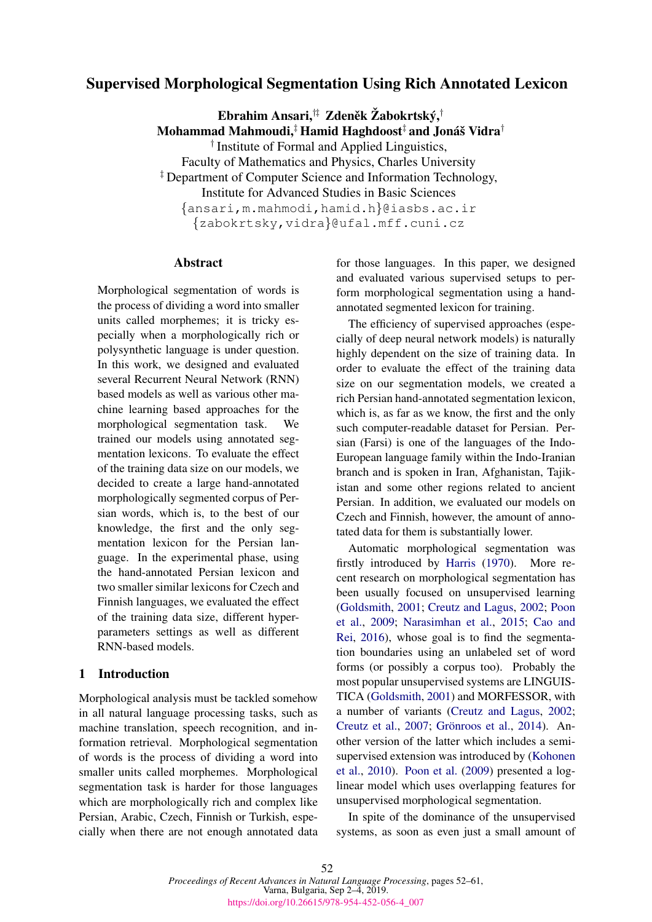# <span id="page-0-0"></span>Supervised Morphological Segmentation Using Rich Annotated Lexicon

Ebrahim Ansari, $^{\dagger\ddagger}~$  Zdeněk Žabokrtský, $^{\dagger}$  $\mathbf M$ ohammad  $\mathbf M$ ahmoudi, $^\ddagger$  Hamid Haghdoost $^\ddagger$  and Jonáš Vidra $^\dagger$ 

† Institute of Formal and Applied Linguistics,

Faculty of Mathematics and Physics, Charles University

‡ Department of Computer Science and Information Technology,

Institute for Advanced Studies in Basic Sciences

{ansari,m.mahmodi,hamid.h}@iasbs.ac.ir {zabokrtsky,vidra}@ufal.mff.cuni.cz

#### Abstract

Morphological segmentation of words is the process of dividing a word into smaller units called morphemes; it is tricky especially when a morphologically rich or polysynthetic language is under question. In this work, we designed and evaluated several Recurrent Neural Network (RNN) based models as well as various other machine learning based approaches for the morphological segmentation task. We trained our models using annotated segmentation lexicons. To evaluate the effect of the training data size on our models, we decided to create a large hand-annotated morphologically segmented corpus of Persian words, which is, to the best of our knowledge, the first and the only segmentation lexicon for the Persian language. In the experimental phase, using the hand-annotated Persian lexicon and two smaller similar lexicons for Czech and Finnish languages, we evaluated the effect of the training data size, different hyperparameters settings as well as different RNN-based models.

## 1 Introduction

Morphological analysis must be tackled somehow in all natural language processing tasks, such as machine translation, speech recognition, and information retrieval. Morphological segmentation of words is the process of dividing a word into smaller units called morphemes. Morphological segmentation task is harder for those languages which are morphologically rich and complex like Persian, Arabic, Czech, Finnish or Turkish, especially when there are not enough annotated data for those languages. In this paper, we designed and evaluated various supervised setups to perform morphological segmentation using a handannotated segmented lexicon for training.

The efficiency of supervised approaches (especially of deep neural network models) is naturally highly dependent on the size of training data. In order to evaluate the effect of the training data size on our segmentation models, we created a rich Persian hand-annotated segmentation lexicon, which is, as far as we know, the first and the only such computer-readable dataset for Persian. Persian (Farsi) is one of the languages of the Indo-European language family within the Indo-Iranian branch and is spoken in Iran, Afghanistan, Tajikistan and some other regions related to ancient Persian. In addition, we evaluated our models on Czech and Finnish, however, the amount of annotated data for them is substantially lower.

Automatic morphological segmentation was firstly introduced by [Harris](#page-8-0) [\(1970\)](#page-8-0). More recent research on morphological segmentation has been usually focused on unsupervised learning [\(Goldsmith,](#page-8-1) [2001;](#page-8-1) [Creutz and Lagus,](#page-8-2) [2002;](#page-8-2) [Poon](#page-9-0) [et al.,](#page-9-0) [2009;](#page-9-0) [Narasimhan et al.,](#page-8-3) [2015;](#page-8-3) [Cao and](#page-8-4) [Rei,](#page-8-4) [2016\)](#page-8-4), whose goal is to find the segmentation boundaries using an unlabeled set of word forms (or possibly a corpus too). Probably the most popular unsupervised systems are LINGUIS-TICA [\(Goldsmith,](#page-8-1) [2001\)](#page-8-1) and MORFESSOR, with a number of variants [\(Creutz and Lagus,](#page-8-2) [2002;](#page-8-2) [Creutz et al.,](#page-8-5) [2007;](#page-8-5) Grönroos et al., [2014\)](#page-8-6). Another version of the latter which includes a semisupervised extension was introduced by [\(Kohonen](#page-8-7) [et al.,](#page-8-7) [2010\)](#page-8-7). [Poon et al.](#page-9-0) [\(2009\)](#page-9-0) presented a loglinear model which uses overlapping features for unsupervised morphological segmentation.

In spite of the dominance of the unsupervised systems, as soon as even just a small amount of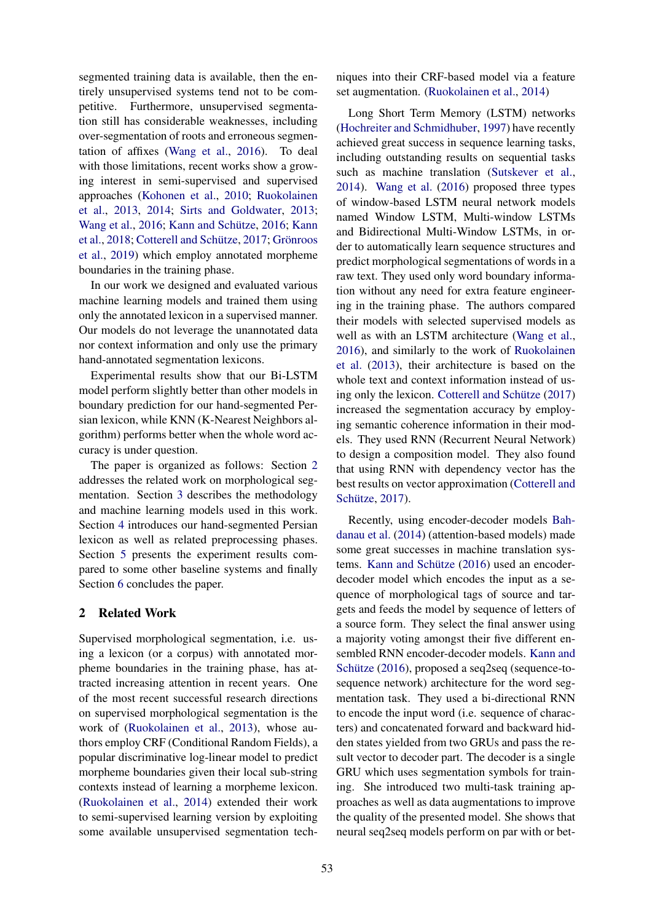segmented training data is available, then the entirely unsupervised systems tend not to be competitive. Furthermore, unsupervised segmentation still has considerable weaknesses, including over-segmentation of roots and erroneous segmentation of affixes [\(Wang et al.,](#page-9-1) [2016\)](#page-9-1). To deal with those limitations, recent works show a growing interest in semi-supervised and supervised approaches [\(Kohonen et al.,](#page-8-7) [2010;](#page-8-7) [Ruokolainen](#page-9-2) [et al.,](#page-9-2) [2013,](#page-9-2) [2014;](#page-9-3) [Sirts and Goldwater,](#page-9-4) [2013;](#page-9-4) [Wang et al.,](#page-9-1) [2016;](#page-8-8) [Kann](#page-8-9) and Schütze, 2016; Kann [et al.,](#page-8-9) [2018;](#page-8-9) Cotterell and Schütze, [2017;](#page-8-10) Grönroos [et al.,](#page-8-11) [2019\)](#page-8-11) which employ annotated morpheme boundaries in the training phase.

In our work we designed and evaluated various machine learning models and trained them using only the annotated lexicon in a supervised manner. Our models do not leverage the unannotated data nor context information and only use the primary hand-annotated segmentation lexicons.

Experimental results show that our Bi-LSTM model perform slightly better than other models in boundary prediction for our hand-segmented Persian lexicon, while KNN (K-Nearest Neighbors algorithm) performs better when the whole word accuracy is under question.

The paper is organized as follows: Section [2](#page-1-0) addresses the related work on morphological segmentation. Section [3](#page-2-0) describes the methodology and machine learning models used in this work. Section [4](#page-3-0) introduces our hand-segmented Persian lexicon as well as related preprocessing phases. Section [5](#page-4-0) presents the experiment results compared to some other baseline systems and finally Section [6](#page-6-0) concludes the paper.

#### <span id="page-1-0"></span>2 Related Work

Supervised morphological segmentation, i.e. using a lexicon (or a corpus) with annotated morpheme boundaries in the training phase, has attracted increasing attention in recent years. One of the most recent successful research directions on supervised morphological segmentation is the work of [\(Ruokolainen et al.,](#page-9-2) [2013\)](#page-9-2), whose authors employ CRF (Conditional Random Fields), a popular discriminative log-linear model to predict morpheme boundaries given their local sub-string contexts instead of learning a morpheme lexicon. [\(Ruokolainen et al.,](#page-9-3) [2014\)](#page-9-3) extended their work to semi-supervised learning version by exploiting some available unsupervised segmentation tech-

niques into their CRF-based model via a feature set augmentation. [\(Ruokolainen et al.,](#page-9-3) [2014\)](#page-9-3)

Long Short Term Memory (LSTM) networks [\(Hochreiter and Schmidhuber,](#page-8-12) [1997\)](#page-8-12) have recently achieved great success in sequence learning tasks, including outstanding results on sequential tasks such as machine translation [\(Sutskever et al.,](#page-9-5) [2014\)](#page-9-5). [Wang et al.](#page-9-1) [\(2016\)](#page-9-1) proposed three types of window-based LSTM neural network models named Window LSTM, Multi-window LSTMs and Bidirectional Multi-Window LSTMs, in order to automatically learn sequence structures and predict morphological segmentations of words in a raw text. They used only word boundary information without any need for extra feature engineering in the training phase. The authors compared their models with selected supervised models as well as with an LSTM architecture [\(Wang et al.,](#page-9-1) [2016\)](#page-9-1), and similarly to the work of [Ruokolainen](#page-9-2) [et al.](#page-9-2) [\(2013\)](#page-9-2), their architecture is based on the whole text and context information instead of us-ing only the lexicon. Cotterell and Schütze [\(2017\)](#page-8-10) increased the segmentation accuracy by employing semantic coherence information in their models. They used RNN (Recurrent Neural Network) to design a composition model. They also found that using RNN with dependency vector has the best results on vector approximation [\(Cotterell and](#page-8-10) Schütze, [2017\)](#page-8-10).

Recently, using encoder-decoder models [Bah](#page-8-13)[danau et al.](#page-8-13) [\(2014\)](#page-8-13) (attention-based models) made some great successes in machine translation systems. Kann and Schütze  $(2016)$  used an encoderdecoder model which encodes the input as a sequence of morphological tags of source and targets and feeds the model by sequence of letters of a source form. They select the final answer using a majority voting amongst their five different ensembled RNN encoder-decoder models. [Kann and](#page-8-8) Schütze  $(2016)$ , proposed a seq2seq (sequence-tosequence network) architecture for the word segmentation task. They used a bi-directional RNN to encode the input word (i.e. sequence of characters) and concatenated forward and backward hidden states yielded from two GRUs and pass the result vector to decoder part. The decoder is a single GRU which uses segmentation symbols for training. She introduced two multi-task training approaches as well as data augmentations to improve the quality of the presented model. She shows that neural seq2seq models perform on par with or bet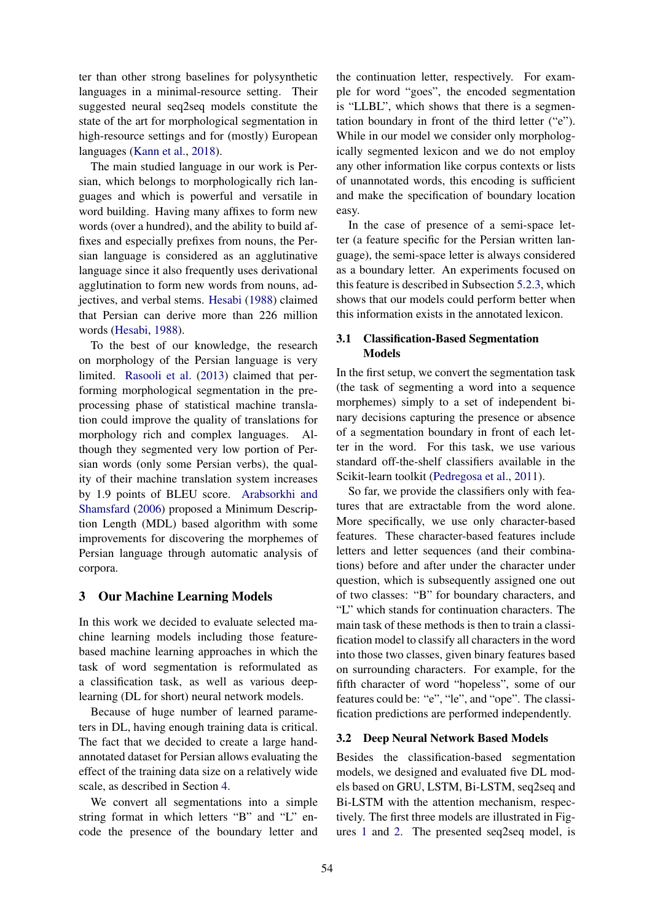ter than other strong baselines for polysynthetic languages in a minimal-resource setting. Their suggested neural seq2seq models constitute the state of the art for morphological segmentation in high-resource settings and for (mostly) European languages [\(Kann et al.,](#page-8-9) [2018\)](#page-8-9).

The main studied language in our work is Persian, which belongs to morphologically rich languages and which is powerful and versatile in word building. Having many affixes to form new words (over a hundred), and the ability to build affixes and especially prefixes from nouns, the Persian language is considered as an agglutinative language since it also frequently uses derivational agglutination to form new words from nouns, adjectives, and verbal stems. [Hesabi](#page-8-14) [\(1988\)](#page-8-14) claimed that Persian can derive more than 226 million words [\(Hesabi,](#page-8-14) [1988\)](#page-8-14).

To the best of our knowledge, the research on morphology of the Persian language is very limited. [Rasooli et al.](#page-9-6) [\(2013\)](#page-9-6) claimed that performing morphological segmentation in the preprocessing phase of statistical machine translation could improve the quality of translations for morphology rich and complex languages. Although they segmented very low portion of Persian words (only some Persian verbs), the quality of their machine translation system increases by 1.9 points of BLEU score. [Arabsorkhi and](#page-8-15) [Shamsfard](#page-8-15) [\(2006\)](#page-8-15) proposed a Minimum Description Length (MDL) based algorithm with some improvements for discovering the morphemes of Persian language through automatic analysis of corpora.

## <span id="page-2-0"></span>3 Our Machine Learning Models

In this work we decided to evaluate selected machine learning models including those featurebased machine learning approaches in which the task of word segmentation is reformulated as a classification task, as well as various deeplearning (DL for short) neural network models.

Because of huge number of learned parameters in DL, having enough training data is critical. The fact that we decided to create a large handannotated dataset for Persian allows evaluating the effect of the training data size on a relatively wide scale, as described in Section [4.](#page-3-0)

We convert all segmentations into a simple string format in which letters "B" and "L" encode the presence of the boundary letter and

the continuation letter, respectively. For example for word "goes", the encoded segmentation is "LLBL", which shows that there is a segmentation boundary in front of the third letter ("e"). While in our model we consider only morphologically segmented lexicon and we do not employ any other information like corpus contexts or lists of unannotated words, this encoding is sufficient and make the specification of boundary location easy.

In the case of presence of a semi-space letter (a feature specific for the Persian written language), the semi-space letter is always considered as a boundary letter. An experiments focused on this feature is described in Subsection [5.2.3,](#page-6-1) which shows that our models could perform better when this information exists in the annotated lexicon.

## 3.1 Classification-Based Segmentation Models

In the first setup, we convert the segmentation task (the task of segmenting a word into a sequence morphemes) simply to a set of independent binary decisions capturing the presence or absence of a segmentation boundary in front of each letter in the word. For this task, we use various standard off-the-shelf classifiers available in the Scikit-learn toolkit [\(Pedregosa et al.,](#page-9-7) [2011\)](#page-9-7).

So far, we provide the classifiers only with features that are extractable from the word alone. More specifically, we use only character-based features. These character-based features include letters and letter sequences (and their combinations) before and after under the character under question, which is subsequently assigned one out of two classes: "B" for boundary characters, and "L" which stands for continuation characters. The main task of these methods is then to train a classification model to classify all characters in the word into those two classes, given binary features based on surrounding characters. For example, for the fifth character of word "hopeless", some of our features could be: "e", "le", and "ope". The classification predictions are performed independently.

### <span id="page-2-1"></span>3.2 Deep Neural Network Based Models

Besides the classification-based segmentation models, we designed and evaluated five DL models based on GRU, LSTM, Bi-LSTM, seq2seq and Bi-LSTM with the attention mechanism, respectively. The first three models are illustrated in Figures [1](#page-2-1) and [2.](#page-2-1) The presented seq2seq model, is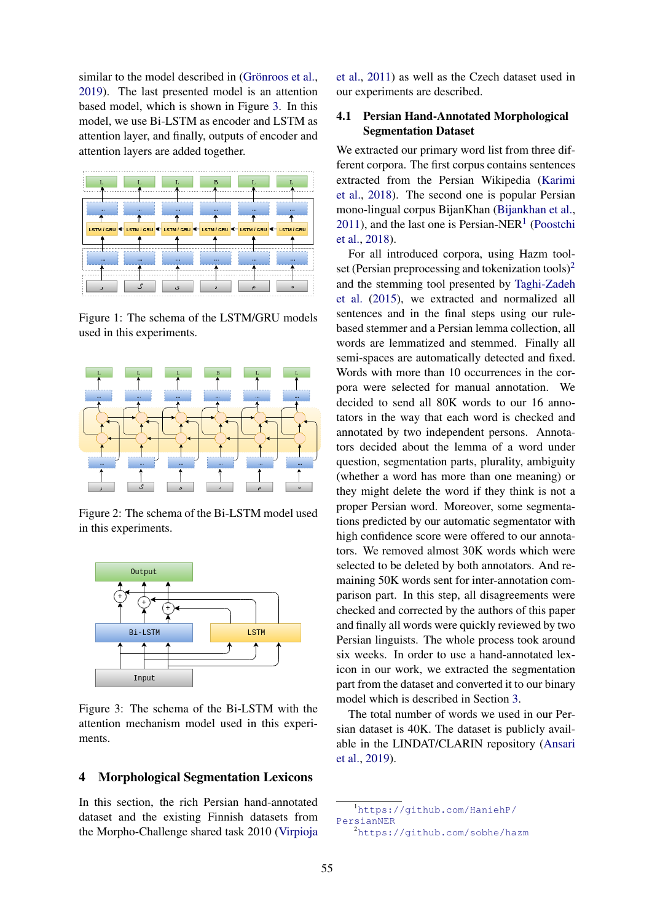similar to the model described in (Grönroos et al., [2019\)](#page-8-11). The last presented model is an attention based model, which is shown in Figure [3.](#page-2-1) In this model, we use Bi-LSTM as encoder and LSTM as attention layer, and finally, outputs of encoder and attention layers are added together.



Figure 1: The schema of the LSTM/GRU models used in this experiments.



Figure 2: The schema of the Bi-LSTM model used in this experiments.



Figure 3: The schema of the Bi-LSTM with the attention mechanism model used in this experiments.

#### <span id="page-3-0"></span>4 Morphological Segmentation Lexicons

In this section, the rich Persian hand-annotated dataset and the existing Finnish datasets from the Morpho-Challenge shared task 2010 [\(Virpioja](#page-9-8)

[et al.,](#page-9-8) [2011\)](#page-9-8) as well as the Czech dataset used in our experiments are described.

### 4.1 Persian Hand-Annotated Morphological Segmentation Dataset

We extracted our primary word list from three different corpora. The first corpus contains sentences extracted from the Persian Wikipedia [\(Karimi](#page-8-16) [et al.,](#page-8-16) [2018\)](#page-8-16). The second one is popular Persian mono-lingual corpus BijanKhan [\(Bijankhan et al.,](#page-8-17)  $2011$  $2011$  $2011$ ), and the last one is Persian-NER<sup>1</sup> [\(Poostchi](#page-9-9) [et al.,](#page-9-9) [2018\)](#page-9-9).

For all introduced corpora, using Hazm tool-set (Persian preprocessing and tokenization tools)<sup>[2](#page-0-0)</sup> and the stemming tool presented by [Taghi-Zadeh](#page-9-10) [et al.](#page-9-10) [\(2015\)](#page-9-10), we extracted and normalized all sentences and in the final steps using our rulebased stemmer and a Persian lemma collection, all words are lemmatized and stemmed. Finally all semi-spaces are automatically detected and fixed. Words with more than 10 occurrences in the corpora were selected for manual annotation. We decided to send all 80K words to our 16 annotators in the way that each word is checked and annotated by two independent persons. Annotators decided about the lemma of a word under question, segmentation parts, plurality, ambiguity (whether a word has more than one meaning) or they might delete the word if they think is not a proper Persian word. Moreover, some segmentations predicted by our automatic segmentator with high confidence score were offered to our annotators. We removed almost 30K words which were selected to be deleted by both annotators. And remaining 50K words sent for inter-annotation comparison part. In this step, all disagreements were checked and corrected by the authors of this paper and finally all words were quickly reviewed by two Persian linguists. The whole process took around six weeks. In order to use a hand-annotated lexicon in our work, we extracted the segmentation part from the dataset and converted it to our binary model which is described in Section [3.](#page-2-0)

The total number of words we used in our Persian dataset is 40K. The dataset is publicly available in the LINDAT/CLARIN repository [\(Ansari](#page-7-0) [et al.,](#page-7-0) [2019\)](#page-7-0).

<sup>1</sup>[https://github.com/HaniehP/](https://github.com/HaniehP/PersianNER) [PersianNER](https://github.com/HaniehP/PersianNER)

<sup>2</sup><https://github.com/sobhe/hazm>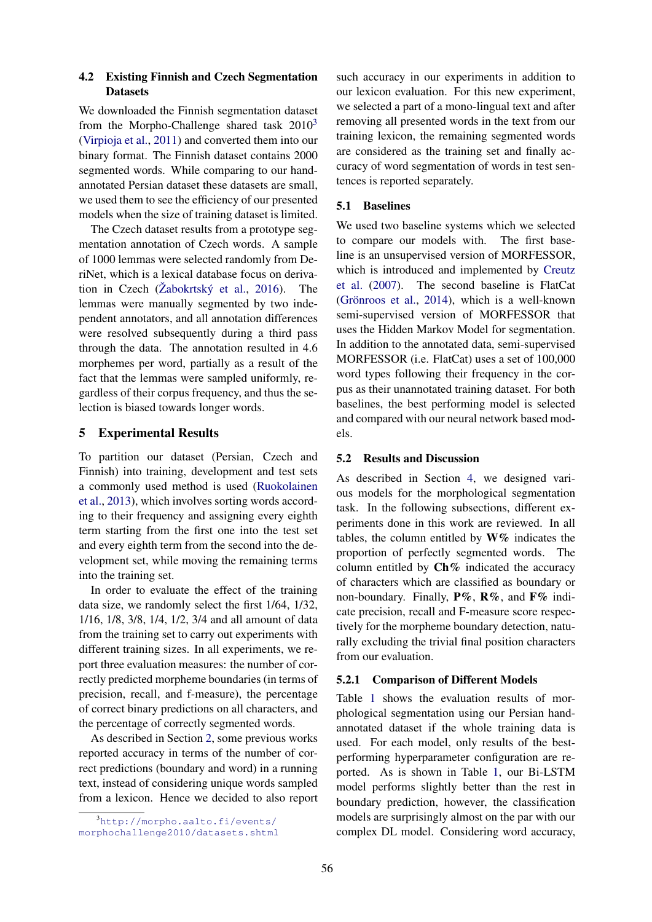## 4.2 Existing Finnish and Czech Segmentation **Datasets**

We downloaded the Finnish segmentation dataset from the Morpho-Challenge shared task  $2010<sup>3</sup>$  $2010<sup>3</sup>$  $2010<sup>3</sup>$ [\(Virpioja et al.,](#page-9-8) [2011\)](#page-9-8) and converted them into our binary format. The Finnish dataset contains 2000 segmented words. While comparing to our handannotated Persian dataset these datasets are small, we used them to see the efficiency of our presented models when the size of training dataset is limited.

The Czech dataset results from a prototype segmentation annotation of Czech words. A sample of 1000 lemmas were selected randomly from DeriNet, which is a lexical database focus on derivation in Czech ( $\check{Z}$ abokrtský et al., [2016\)](#page-9-11). The lemmas were manually segmented by two independent annotators, and all annotation differences were resolved subsequently during a third pass through the data. The annotation resulted in 4.6 morphemes per word, partially as a result of the fact that the lemmas were sampled uniformly, regardless of their corpus frequency, and thus the selection is biased towards longer words.

# <span id="page-4-0"></span>5 Experimental Results

To partition our dataset (Persian, Czech and Finnish) into training, development and test sets a commonly used method is used [\(Ruokolainen](#page-9-2) [et al.,](#page-9-2) [2013\)](#page-9-2), which involves sorting words according to their frequency and assigning every eighth term starting from the first one into the test set and every eighth term from the second into the development set, while moving the remaining terms into the training set.

In order to evaluate the effect of the training data size, we randomly select the first 1/64, 1/32, 1/16, 1/8, 3/8, 1/4, 1/2, 3/4 and all amount of data from the training set to carry out experiments with different training sizes. In all experiments, we report three evaluation measures: the number of correctly predicted morpheme boundaries (in terms of precision, recall, and f-measure), the percentage of correct binary predictions on all characters, and the percentage of correctly segmented words.

As described in Section [2,](#page-1-0) some previous works reported accuracy in terms of the number of correct predictions (boundary and word) in a running text, instead of considering unique words sampled from a lexicon. Hence we decided to also report such accuracy in our experiments in addition to our lexicon evaluation. For this new experiment, we selected a part of a mono-lingual text and after removing all presented words in the text from our training lexicon, the remaining segmented words are considered as the training set and finally accuracy of word segmentation of words in test sentences is reported separately.

# 5.1 Baselines

We used two baseline systems which we selected to compare our models with. The first baseline is an unsupervised version of MORFESSOR, which is introduced and implemented by [Creutz](#page-8-5) [et al.](#page-8-5) [\(2007\)](#page-8-5). The second baseline is FlatCat (Grönroos et al.,  $2014$ ), which is a well-known semi-supervised version of MORFESSOR that uses the Hidden Markov Model for segmentation. In addition to the annotated data, semi-supervised MORFESSOR (i.e. FlatCat) uses a set of 100,000 word types following their frequency in the corpus as their unannotated training dataset. For both baselines, the best performing model is selected and compared with our neural network based models.

# 5.2 Results and Discussion

As described in Section [4,](#page-3-0) we designed various models for the morphological segmentation task. In the following subsections, different experiments done in this work are reviewed. In all tables, the column entitled by  $W\%$  indicates the proportion of perfectly segmented words. The column entitled by  $\mathbf{Ch}\%$  indicated the accuracy of characters which are classified as boundary or non-boundary. Finally,  $P\%$ ,  $R\%$ , and  $F\%$  indicate precision, recall and F-measure score respectively for the morpheme boundary detection, naturally excluding the trivial final position characters from our evaluation.

# <span id="page-4-1"></span>5.2.1 Comparison of Different Models

Table [1](#page-4-1) shows the evaluation results of morphological segmentation using our Persian handannotated dataset if the whole training data is used. For each model, only results of the bestperforming hyperparameter configuration are reported. As is shown in Table [1,](#page-4-1) our Bi-LSTM model performs slightly better than the rest in boundary prediction, however, the classification models are surprisingly almost on the par with our complex DL model. Considering word accuracy,

<sup>3</sup>[http://morpho.aalto.fi/events/](http://morpho.aalto.fi/events/morphochallenge2010/datasets.shtml) [morphochallenge2010/datasets.shtml](http://morpho.aalto.fi/events/morphochallenge2010/datasets.shtml)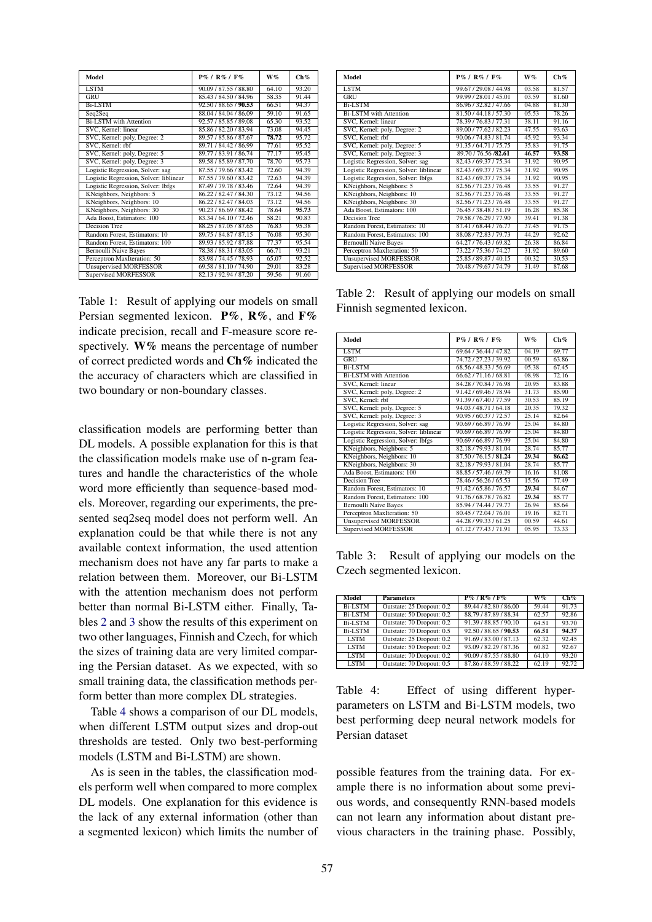| Model                                  | $P\% / R\% / F\%$     | W%                 | Ch%                |
|----------------------------------------|-----------------------|--------------------|--------------------|
| <b>LSTM</b>                            | 90.09 / 87.55 / 88.80 | 64.10              | 93.20              |
| <b>GRU</b>                             | 85.43 / 84.50 / 84.96 | 58.35              | 91.44              |
| <b>Bi-LSTM</b>                         | 92.50 / 88.65 / 90.53 | 66.51              | 94.37              |
| Seq2Seq                                | 88.04 / 84.04 / 86.09 | 59.10              | 91.65              |
| <b>Bi-LSTM</b> with Attention          | 92.57 / 85.85 / 89.08 | 65.30              | 93.52              |
| SVC, Kernel: linear                    | 85.86 / 82.20 / 83.94 | 73.08              | 94.45              |
| SVC, Kernel: poly, Degree: 2           | 89.57 / 85.86 / 87.67 | 78.72              | 95.72              |
| SVC, Kernel: rbf                       | 89.71 / 84.42 / 86.99 | 77.61              | 95.52              |
| SVC, Kernel: poly, Degree: 5           | 89.77 / 83.91 / 86.74 | 77.17              | 95.45              |
| SVC, Kernel: poly, Degree: 3           | 89.58 / 85.89 / 87.70 | 78.70              | 95.73              |
| Logistic Regression, Solver: sag       | 87.55 / 79.66 / 83.42 | 72.60              | 94.39              |
| Logistic Regression, Solver: liblinear | 87.55 / 79.60 / 83.42 | 72.63              | 94.39              |
| Logistic Regression, Solver: lbfgs     | 87.49 / 79.78 / 83.46 | $\overline{72.64}$ | 94.39              |
| KNeighbors, Neighbors: 5               | 86.22/82.47/84.30     | 73.12              | 94.56              |
| KNeighbors, Neighbors: 10              | 86.22 / 82.47 / 84.03 | 73.12              | 94.56              |
| KNeighbors, Neighbors: 30              | 90.23 / 86.69 / 88.42 | 78.64              | 95.73              |
| Ada Boost, Estimators: 100             | 83.34 / 64.10 / 72.46 | 58.21              | 90.83              |
| Decision Tree                          | 88.25 / 87.05 / 87.65 | 76.83              | 95.38              |
| Random Forest, Estimators: 10          | 89.75 / 84.87 / 87.15 | 76.08              | $95.\overline{30}$ |
| Random Forest, Estimators: 100         | 89.93 / 85.92 / 87.88 | 77.37              | 95.54              |
| <b>Bernoulli Naive Bayes</b>           | 78.38 / 88.31 / 83.05 | 66.71              | 93.21              |
| Perceptron MaxIteration: 50            | 83.98 / 74.45 / 78.93 | 65.07              | 92.52              |
| <b>Unsupervised MORFESSOR</b>          | 69.58 / 81.10 / 74.90 | 29.01              | 83.28              |
| <b>Supervised MORFESSOR</b>            | 82.13/92.94/87.20     | 59.56              | 91.60              |

Table 1: Result of applying our models on small Persian segmented lexicon.  $P\%$ ,  $R\%$ , and  $F\%$ indicate precision, recall and F-measure score respectively.  $W\%$  means the percentage of number of correct predicted words and Ch% indicated the the accuracy of characters which are classified in two boundary or non-boundary classes.

classification models are performing better than DL models. A possible explanation for this is that the classification models make use of n-gram features and handle the characteristics of the whole word more efficiently than sequence-based models. Moreover, regarding our experiments, the presented seq2seq model does not perform well. An explanation could be that while there is not any available context information, the used attention mechanism does not have any far parts to make a relation between them. Moreover, our Bi-LSTM with the attention mechanism does not perform better than normal Bi-LSTM either. Finally, Tables [2](#page-4-1) and [3](#page-4-1) show the results of this experiment on two other languages, Finnish and Czech, for which the sizes of training data are very limited comparing the Persian dataset. As we expected, with so small training data, the classification methods perform better than more complex DL strategies.

Table [4](#page-4-1) shows a comparison of our DL models, when different LSTM output sizes and drop-out thresholds are tested. Only two best-performing models (LSTM and Bi-LSTM) are shown.

As is seen in the tables, the classification models perform well when compared to more complex DL models. One explanation for this evidence is the lack of any external information (other than a segmented lexicon) which limits the number of

| Model                                  | $P\%$ / $R\%$ / $F\%$ | W%    | Ch%   |
|----------------------------------------|-----------------------|-------|-------|
| <b>LSTM</b>                            | 99.67 / 29.08 / 44.98 | 03.58 | 81.57 |
| GRU                                    | 99.99 / 28.01 / 45.01 | 03.59 | 81.60 |
| <b>Bi-LSTM</b>                         | 86.96 / 32.82 / 47.66 | 04.88 | 81.30 |
| <b>Bi-LSTM</b> with Attention          | 81.50 / 44.18 / 57.30 | 05.53 | 78.26 |
| SVC, Kernel: linear                    | 78.39 / 76.83 / 77.31 | 38.11 | 91.16 |
| SVC, Kernel: poly, Degree: 2           | 89.00 / 77.62 / 82.23 | 47.55 | 93.63 |
| SVC. Kernel: rbf                       | 90.06 / 74.83 / 81.74 | 45.92 | 93.34 |
| SVC, Kernel: poly, Degree: 5           | 91.35/64.71/75.75     | 35.83 | 91.75 |
| SVC, Kernel: poly, Degree: 3           | 89.70 / 76.56 / 82.61 | 46.57 | 93.58 |
| Logistic Regression, Solver: sag       | 82.43/69.37/75.34     | 31.92 | 90.95 |
| Logistic Regression, Solver: liblinear | 82.43/69.37/75.34     | 31.92 | 90.95 |
| Logistic Regression, Solver: lbfgs     | 82.43/69.37/75.34     | 31.92 | 90.95 |
| KNeighbors, Neighbors: 5               | 82.56 / 71.23 / 76.48 | 33.55 | 91.27 |
| KNeighbors, Neighbors: 10              | 82.56/71.23/76.48     | 33.55 | 91.27 |
| KNeighbors, Neighbors: 30              | 82.56 / 71.23 / 76.48 | 33.55 | 91.27 |
| Ada Boost, Estimators: 100             | 76.45 / 38.48 / 51.19 | 16.28 | 85.38 |
| <b>Decision Tree</b>                   | 79.58 / 76.29 / 77.90 | 39.41 | 91.38 |
| Random Forest, Estimators: 10          | 87.41 / 68.44 / 76.77 | 37.45 | 91.75 |
| Random Forest, Estimators: 100         | 88.08 / 72.83 / 79.73 | 44.29 | 92.62 |
| <b>Bernoulli Naive Bayes</b>           | 64.27 / 76.43 / 69.82 | 26.38 | 86.84 |
| Perceptron MaxIteration: 50            | 73.22 / 75.36 / 74.27 | 31.92 | 89.60 |
| <b>Unsupervised MORFESSOR</b>          | 25.85 / 89.87 / 40.15 | 00.32 | 30.53 |
| <b>Supervised MORFESSOR</b>            | 70.48 / 79.67 / 74.79 | 31.49 | 87.68 |

Table 2: Result of applying our models on small Finnish segmented lexicon.

| Model                                  | $P\%$ / $R\%$ / $F\%$ | W%    | Ch%   |
|----------------------------------------|-----------------------|-------|-------|
| <b>LSTM</b>                            | 69.64 / 36.44 / 47.82 | 04.19 | 69.77 |
| <b>GRU</b>                             | 74.72 / 27.23 / 39.92 | 00.59 | 63.86 |
| <b>Bi-LSTM</b>                         | 68.56 / 48.33 / 56.69 | 05.38 | 67.45 |
| <b>Bi-LSTM</b> with Attention          | 66.62/71.16/68.81     | 08.98 | 72.16 |
| SVC, Kernel: linear                    | 84.28 / 70.84 / 76.98 | 20.95 | 83.88 |
| SVC, Kernel: poly, Degree: 2           | 91.42 / 69.46 / 78.94 | 31.73 | 85.90 |
| SVC. Kernel: rbf                       | 91.39 / 67.40 / 77.59 | 30.53 | 85.19 |
| SVC, Kernel: poly, Degree: 5           | 94.03 / 48.71 / 64.18 | 20.35 | 79.32 |
| SVC, Kernel: poly, Degree: 3           | 90.95/60.37/72.57     | 25.14 | 82.64 |
| Logistic Regression, Solver: sag       | 90.69 / 66.89 / 76.99 | 25.04 | 84.80 |
| Logistic Regression, Solver: liblinear | 90.69 / 66.89 / 76.99 | 25.04 | 84.80 |
| Logistic Regression, Solver: lbfgs     | 90.69 / 66.89 / 76.99 | 25.04 | 84.80 |
| KNeighbors, Neighbors: 5               | 82.18/79.93/81.04     | 28.74 | 85.77 |
| KNeighbors, Neighbors: 10              | 87.50 / 76.15 / 81.24 | 29.34 | 86.62 |
| KNeighbors, Neighbors: 30              | 82.18/79.93/81.04     | 28.74 | 85.77 |
| Ada Boost, Estimators: 100             | 88.85 / 57.46 / 69.79 | 16.16 | 81.08 |
| <b>Decision Tree</b>                   | 78.46 / 56.26 / 65.53 | 15.56 | 77.49 |
| Random Forest, Estimators: 10          | 91.42/65.86/76.57     | 29.34 | 84.67 |
| Random Forest, Estimators: 100         | 91.76 / 68.78 / 76.82 | 29.34 | 85.77 |
| <b>Bernoulli Naive Bayes</b>           | 85.94 / 74.44 / 79.77 | 26.94 | 85.64 |
| Perceptron MaxIteration: 50            | 80.45 / 72.04 / 76.01 | 19.16 | 82.71 |
| <b>Unsupervised MORFESSOR</b>          | 44.28 / 99.33 / 61.25 | 00.59 | 44.61 |
| <b>Supervised MORFESSOR</b>            | 67.12/77.43/71.91     | 05.95 | 73.33 |

Table 3: Result of applying our models on the Czech segmented lexicon.

| Model          | <b>Parameters</b>         | $P\%$ / $R\%$ / $F\%$ | W%    | Ch%   |
|----------------|---------------------------|-----------------------|-------|-------|
| <b>Bi-LSTM</b> | Outstate: 25 Dropout: 0.2 | 89.44 / 82.80 / 86.00 | 59.44 | 91.73 |
| <b>Bi-LSTM</b> | Outstate: 50 Dropout: 0.2 | 88.79 / 87.89 / 88.34 | 62.57 | 92.86 |
| <b>Bi-LSTM</b> | Outstate: 70 Dropout: 0.2 | 91.39 / 88.85 / 90.10 | 64.51 | 93.70 |
| <b>Bi-LSTM</b> | Outstate: 70 Dropout: 0.5 | 92.50 / 88.65 / 90.53 | 66.51 | 94.37 |
| <b>LSTM</b>    | Outstate: 25 Dropout: 0.2 | 91.69 / 83.00 / 87.13 | 62.32 | 92.45 |
| <b>LSTM</b>    | Outstate: 50 Dropout: 0.2 | 93.09 / 82.29 / 87.36 | 60.82 | 92.67 |
| <b>LSTM</b>    | Outstate: 70 Dropout: 0.2 | 90.09 / 87.55 / 88.80 | 64.10 | 93.20 |
| <b>LSTM</b>    | Outstate: 70 Dropout: 0.5 | 87.86 / 88.59 / 88.22 | 62.19 | 92.72 |

Table 4: Effect of using different hyperparameters on LSTM and Bi-LSTM models, two best performing deep neural network models for Persian dataset

possible features from the training data. For example there is no information about some previous words, and consequently RNN-based models can not learn any information about distant previous characters in the training phase. Possibly,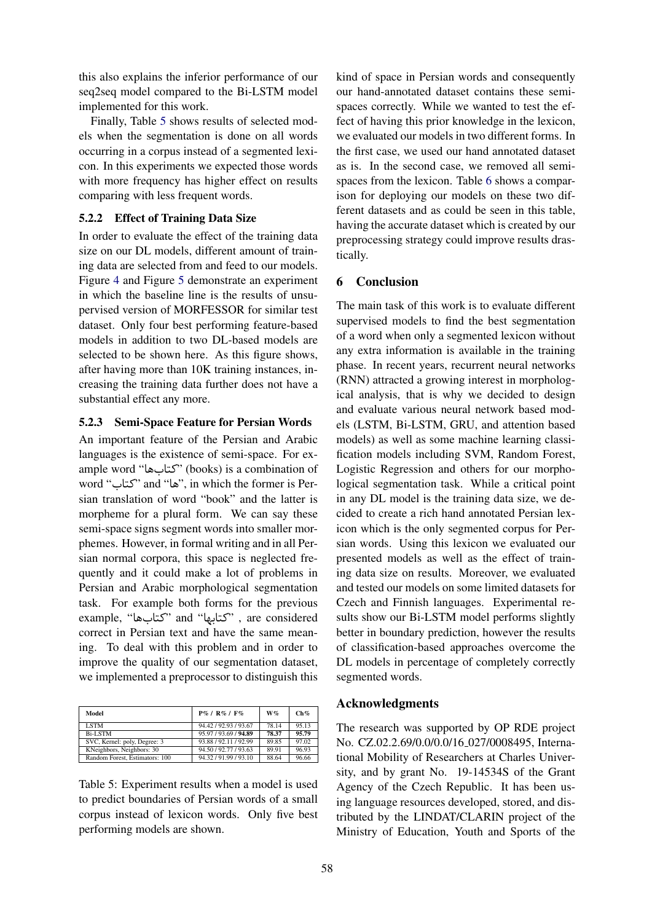this also explains the inferior performance of our seq2seq model compared to the Bi-LSTM model implemented for this work.

Finally, Table [5](#page-4-1) shows results of selected models when the segmentation is done on all words occurring in a corpus instead of a segmented lexicon. In this experiments we expected those words with more frequency has higher effect on results comparing with less frequent words.

## <span id="page-6-2"></span>5.2.2 Effect of Training Data Size

In order to evaluate the effect of the training data size on our DL models, different amount of training data are selected from and feed to our models. Figure [4](#page-4-1) and Figure [5](#page-4-1) demonstrate an experiment in which the baseline line is the results of unsupervised version of MORFESSOR for similar test dataset. Only four best performing feature-based models in addition to two DL-based models are selected to be shown here. As this figure shows, after having more than 10K training instances, increasing the training data further does not have a substantial effect any more.

## <span id="page-6-1"></span>5.2.3 Semi-Space Feature for Persian Words

An important feature of the Persian and Arabic languages is the existence of semi-space. For example word "کتابها) "books) is a combination of word "کتاب "and "ها", in which the former is Persian translation of word "book" and the latter is morpheme for a plural form. We can say these semi-space signs segment words into smaller morphemes. However, in formal writing and in all Persian normal corpora, this space is neglected frequently and it could make a lot of problems in Persian and Arabic morphological segmentation task. For example both forms for the previous example, "کتابها "and "کتابها ", are considered correct in Persian text and have the same meaning. To deal with this problem and in order to improve the quality of our segmentation dataset, we implemented a preprocessor to distinguish this

| Model                          | $P\%$ / $R\%$ / $F\%$ | $W\%$ | Ch%   |
|--------------------------------|-----------------------|-------|-------|
| <b>LSTM</b>                    | 94.42 / 92.93 / 93.67 | 78.14 | 95.13 |
| <b>Bi-LSTM</b>                 | 95.97 / 93.69 / 94.89 | 78.37 | 95.79 |
| SVC, Kernel: poly, Degree: 3   | 93.88 / 92.11 / 92.99 | 89.85 | 97.02 |
| KNeighbors, Neighbors: 30      | 94.50 / 92.77 / 93.63 | 89.91 | 96.93 |
| Random Forest, Estimators: 100 | 94.32/91.99/93.10     | 88.64 | 96.66 |

Table 5: Experiment results when a model is used to predict boundaries of Persian words of a small corpus instead of lexicon words. Only five best performing models are shown.

kind of space in Persian words and consequently our hand-annotated dataset contains these semispaces correctly. While we wanted to test the effect of having this prior knowledge in the lexicon, we evaluated our models in two different forms. In the first case, we used our hand annotated dataset as is. In the second case, we removed all semispaces from the lexicon. Table [6](#page-6-2) shows a comparison for deploying our models on these two different datasets and as could be seen in this table, having the accurate dataset which is created by our preprocessing strategy could improve results drastically.

# <span id="page-6-0"></span>6 Conclusion

The main task of this work is to evaluate different supervised models to find the best segmentation of a word when only a segmented lexicon without any extra information is available in the training phase. In recent years, recurrent neural networks (RNN) attracted a growing interest in morphological analysis, that is why we decided to design and evaluate various neural network based models (LSTM, Bi-LSTM, GRU, and attention based models) as well as some machine learning classification models including SVM, Random Forest, Logistic Regression and others for our morphological segmentation task. While a critical point in any DL model is the training data size, we decided to create a rich hand annotated Persian lexicon which is the only segmented corpus for Persian words. Using this lexicon we evaluated our presented models as well as the effect of training data size on results. Moreover, we evaluated and tested our models on some limited datasets for Czech and Finnish languages. Experimental results show our Bi-LSTM model performs slightly better in boundary prediction, however the results of classification-based approaches overcome the DL models in percentage of completely correctly segmented words.

## Acknowledgments

The research was supported by OP RDE project No. CZ.02.2.69/0.0/0.0/16 027/0008495, International Mobility of Researchers at Charles University, and by grant No. 19-14534S of the Grant Agency of the Czech Republic. It has been using language resources developed, stored, and distributed by the LINDAT/CLARIN project of the Ministry of Education, Youth and Sports of the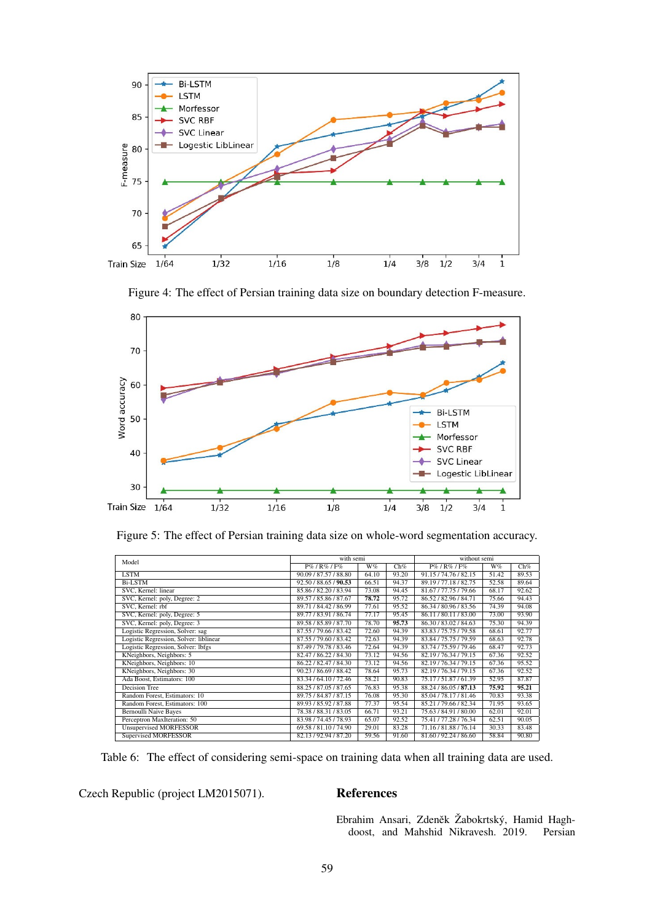

Figure 4: The effect of Persian training data size on boundary detection F-measure.



Figure 5: The effect of Persian training data size on whole-word segmentation accuracy.

| Model                                  | with semi             |       | without semi |                       |       |       |
|----------------------------------------|-----------------------|-------|--------------|-----------------------|-------|-------|
|                                        | $P\%$ / $R\%$ / $F\%$ | W%    | Ch%          | P%/R%/F%              | W%    | Ch%   |
| <b>LSTM</b>                            | 90.09 / 87.57 / 88.80 | 64.10 | 93.20        | 91.15/74.76/82.15     | 51.42 | 89.53 |
| <b>Bi-LSTM</b>                         | 92.50 / 88.65 / 90.53 | 66.51 | 94.37        | 89.19/77.18/82.75     | 52.58 | 89.64 |
| SVC. Kernel: linear                    | 85.86 / 82.20 / 83.94 | 73.08 | 94.45        | 81.67 / 77.75 / 79.66 | 68.17 | 92.62 |
| SVC, Kernel: poly, Degree: 2           | 89.57 / 85.86 / 87.67 | 78.72 | 95.72        | 86.52/82.96/84.71     | 75.66 | 94.43 |
| SVC. Kernel: rbf                       | 89.71 / 84.42 / 86.99 | 77.61 | 95.52        | 86.34 / 80.96 / 83.56 | 74.39 | 94.08 |
| SVC, Kernel: poly, Degree: 5           | 89.77 / 83.91 / 86.74 | 77.17 | 95.45        | 86.11/80.11/83.00     | 73.00 | 93.90 |
| SVC, Kernel: poly, Degree: 3           | 89.58 / 85.89 / 87.70 | 78.70 | 95.73        | 86.30/83.02/84.63     | 75.30 | 94.39 |
| Logistic Regression, Solver: sag       | 87.55 / 79.66 / 83.42 | 72.60 | 94.39        | 83.83/75.75/79.58     | 68.61 | 92.77 |
| Logistic Regression, Solver: liblinear | 87.55 / 79.60 / 83.42 | 72.63 | 94.39        | 83.84 / 75.75 / 79.59 | 68.63 | 92.78 |
| Logistic Regression, Solver: lbfgs     | 87.49 / 79.78 / 83.46 | 72.64 | 94.39        | 83.74 / 75.59 / 79.46 | 68.47 | 92.73 |
| KNeighbors, Neighbors: 5               | 82.47/86.22/84.30     | 73.12 | 94.56        | 82.19/76.34/79.15     | 67.36 | 92.52 |
| KNeighbors, Neighbors: 10              | 86.22/82.47/84.30     | 73.12 | 94.56        | 82.19/76.34/79.15     | 67.36 | 95.52 |
| KNeighbors, Neighbors: 30              | 90.23 / 86.69 / 88.42 | 78.64 | 95.73        | 82.19/76.34/79.15     | 67.36 | 92.52 |
| Ada Boost, Estimators: 100             | 83.34 / 64.10 / 72.46 | 58.21 | 90.83        | 75.17/51.87/61.39     | 52.95 | 87.87 |
| <b>Decision Tree</b>                   | 88.25 / 87.05 / 87.65 | 76.83 | 95.38        | 88.24 / 86.05 / 87.13 | 75.92 | 95.21 |
| Random Forest, Estimators: 10          | 89.75 / 84.87 / 87.15 | 76.08 | 95.30        | 85.04 / 78.17 / 81.46 | 70.83 | 93.38 |
| Random Forest, Estimators: 100         | 89.93 / 85.92 / 87.88 | 77.37 | 95.54        | 85.21/79.66/82.34     | 71.95 | 93.65 |
| <b>Bernoulli Naive Bayes</b>           | 78.38 / 88.31 / 83.05 | 66.71 | 93.21        | 75.63 / 84.91 / 80.00 | 62.01 | 92.01 |
| Perceptron MaxIteration: 50            | 83.98 / 74.45 / 78.93 | 65.07 | 92.52        | 75.41/77.28/76.34     | 62.51 | 90.05 |
| <b>Unsupervised MORFESSOR</b>          | 69.58 / 81.10 / 74.90 | 29.01 | 83.28        | 71.16/81.88/76.14     | 30.33 | 83.48 |
| <b>Supervised MORFESSOR</b>            | 82.13/92.94/87.20     | 59.56 | 91.60        | 81.60/92.24/86.60     | 58.84 | 90.80 |

Table 6: The effect of considering semi-space on training data when all training data are used.

Czech Republic (project LM2015071). References

<span id="page-7-0"></span>Ebrahim Ansari, Zdeněk Žabokrtský, Hamid Haghdoost, and Mahshid Nikravesh. 2019. Persian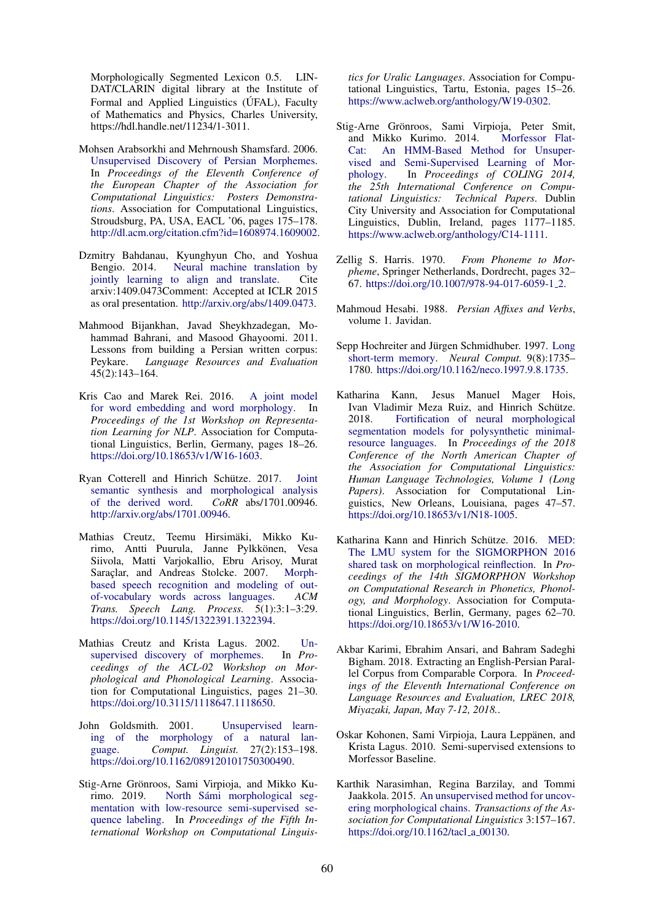Morphologically Segmented Lexicon 0.5. LIN-DAT/CLARIN digital library at the Institute of Formal and Applied Linguistics (ÚFAL), Faculty of Mathematics and Physics, Charles University, https://hdl.handle.net/11234/1-3011.

- <span id="page-8-15"></span>Mohsen Arabsorkhi and Mehrnoush Shamsfard. 2006. [Unsupervised Discovery of Persian Morphemes.](http://dl.acm.org/citation.cfm?id=1608974.1609002) In *Proceedings of the Eleventh Conference of the European Chapter of the Association for Computational Linguistics: Posters Demonstrations*. Association for Computational Linguistics, Stroudsburg, PA, USA, EACL '06, pages 175–178. [http://dl.acm.org/citation.cfm?id=1608974.1609002.](http://dl.acm.org/citation.cfm?id=1608974.1609002)
- <span id="page-8-13"></span>Dzmitry Bahdanau, Kyunghyun Cho, and Yoshua Bengio. 2014. [Neural machine translation by](http://arxiv.org/abs/1409.0473) [jointly learning to align and translate.](http://arxiv.org/abs/1409.0473) Cite arxiv:1409.0473Comment: Accepted at ICLR 2015 as oral presentation. [http://arxiv.org/abs/1409.0473.](http://arxiv.org/abs/1409.0473)
- <span id="page-8-17"></span>Mahmood Bijankhan, Javad Sheykhzadegan, Mohammad Bahrani, and Masood Ghayoomi. 2011. Lessons from building a Persian written corpus: Peykare. *Language Resources and Evaluation* 45(2):143–164.
- <span id="page-8-4"></span>Kris Cao and Marek Rei. 2016. [A joint model](https://doi.org/10.18653/v1/W16-1603) [for word embedding and word morphology.](https://doi.org/10.18653/v1/W16-1603) In *Proceedings of the 1st Workshop on Representation Learning for NLP*. Association for Computational Linguistics, Berlin, Germany, pages 18–26. [https://doi.org/10.18653/v1/W16-1603.](https://doi.org/10.18653/v1/W16-1603)
- <span id="page-8-10"></span>Ryan Cotterell and Hinrich Schütze. 2017. [Joint](http://arxiv.org/abs/1701.00946) [semantic synthesis and morphological analysis](http://arxiv.org/abs/1701.00946) [of the derived word.](http://arxiv.org/abs/1701.00946) *CoRR* abs/1701.00946. [http://arxiv.org/abs/1701.00946.](http://arxiv.org/abs/1701.00946)
- <span id="page-8-5"></span>Mathias Creutz, Teemu Hirsimäki, Mikko Kurimo, Antti Puurula, Janne Pylkkönen, Vesa Siivola, Matti Varjokallio, Ebru Arisoy, Murat Saraçlar, and Andreas Stolcke. 2007. [Morph](https://doi.org/10.1145/1322391.1322394)[based speech recognition and modeling of out](https://doi.org/10.1145/1322391.1322394)[of-vocabulary words across languages.](https://doi.org/10.1145/1322391.1322394) *ACM Trans. Speech Lang. Process.* 5(1):3:1–3:29. [https://doi.org/10.1145/1322391.1322394.](https://doi.org/10.1145/1322391.1322394)
- <span id="page-8-2"></span>Mathias Creutz and Krista Lagus. 2002. Un-<br>supervised discovery of morphemes. In Pro[supervised discovery of morphemes.](https://doi.org/10.3115/1118647.1118650) *ceedings of the ACL-02 Workshop on Morphological and Phonological Learning*. Association for Computational Linguistics, pages 21–30. [https://doi.org/10.3115/1118647.1118650.](https://doi.org/10.3115/1118647.1118650)
- <span id="page-8-1"></span>John Goldsmith. 2001. [Unsupervised learn](https://doi.org/10.1162/089120101750300490)[ing of the morphology of a natural lan](https://doi.org/10.1162/089120101750300490)[guage.](https://doi.org/10.1162/089120101750300490) *Comput. Linguist.* 27(2):153–198. [https://doi.org/10.1162/089120101750300490.](https://doi.org/10.1162/089120101750300490)
- <span id="page-8-11"></span>Stig-Arne Grönroos, Sami Virpioja, and Mikko Kurimo. 2019. North Sámi morphological seg[mentation with low-resource semi-supervised se](https://www.aclweb.org/anthology/W19-0302)[quence labeling.](https://www.aclweb.org/anthology/W19-0302) In *Proceedings of the Fifth International Workshop on Computational Linguis-*

*tics for Uralic Languages*. Association for Computational Linguistics, Tartu, Estonia, pages 15–26. [https://www.aclweb.org/anthology/W19-0302.](https://www.aclweb.org/anthology/W19-0302)

- <span id="page-8-6"></span>Stig-Arne Grönroos, Sami Virpioja, Peter Smit, and Mikko Kurimo. 2014. [Morfessor Flat-](https://www.aclweb.org/anthology/C14-1111)[Cat: An HMM-Based Method for Unsuper](https://www.aclweb.org/anthology/C14-1111)[vised and Semi-Supervised Learning of Mor](https://www.aclweb.org/anthology/C14-1111)[phology.](https://www.aclweb.org/anthology/C14-1111) In *Proceedings of COLING 2014, the 25th International Conference on Computational Linguistics: Technical Papers*. Dublin City University and Association for Computational Linguistics, Dublin, Ireland, pages 1177–1185. [https://www.aclweb.org/anthology/C14-1111.](https://www.aclweb.org/anthology/C14-1111)
- <span id="page-8-0"></span>Zellig S. Harris. 1970. *From Phoneme to Morpheme*, Springer Netherlands, Dordrecht, pages 32– 67. [https://doi.org/10.1007/978-94-017-6059-1](https://doi.org/10.1007/978-94-017-6059-1_2) 2.
- <span id="page-8-14"></span>Mahmoud Hesabi. 1988. *Persian Affixes and Verbs*, volume 1. Javidan.
- <span id="page-8-12"></span>Sepp Hochreiter and Jürgen Schmidhuber. 1997. [Long](https://doi.org/10.1162/neco.1997.9.8.1735) [short-term memory.](https://doi.org/10.1162/neco.1997.9.8.1735) *Neural Comput.* 9(8):1735– 1780. [https://doi.org/10.1162/neco.1997.9.8.1735.](https://doi.org/10.1162/neco.1997.9.8.1735)
- <span id="page-8-9"></span>Katharina Kann, Jesus Manuel Mager Hois, Ivan Vladimir Meza Ruiz, and Hinrich Schütze. 2018. [Fortification of neural morphological](https://doi.org/10.18653/v1/N18-1005) [segmentation models for polysynthetic minimal](https://doi.org/10.18653/v1/N18-1005)[resource languages.](https://doi.org/10.18653/v1/N18-1005) In *Proceedings of the 2018 Conference of the North American Chapter of the Association for Computational Linguistics: Human Language Technologies, Volume 1 (Long Papers)*. Association for Computational Linguistics, New Orleans, Louisiana, pages 47–57. [https://doi.org/10.18653/v1/N18-1005.](https://doi.org/10.18653/v1/N18-1005)
- <span id="page-8-8"></span>Katharina Kann and Hinrich Schütze. 2016. [MED:](https://doi.org/10.18653/v1/W16-2010) [The LMU system for the SIGMORPHON 2016](https://doi.org/10.18653/v1/W16-2010) [shared task on morphological reinflection.](https://doi.org/10.18653/v1/W16-2010) In *Proceedings of the 14th SIGMORPHON Workshop on Computational Research in Phonetics, Phonology, and Morphology*. Association for Computational Linguistics, Berlin, Germany, pages 62–70. [https://doi.org/10.18653/v1/W16-2010.](https://doi.org/10.18653/v1/W16-2010)
- <span id="page-8-16"></span>Akbar Karimi, Ebrahim Ansari, and Bahram Sadeghi Bigham. 2018. Extracting an English-Persian Parallel Corpus from Comparable Corpora. In *Proceedings of the Eleventh International Conference on Language Resources and Evaluation, LREC 2018, Miyazaki, Japan, May 7-12, 2018.*.
- <span id="page-8-7"></span>Oskar Kohonen, Sami Virpioja, Laura Leppänen, and Krista Lagus. 2010. Semi-supervised extensions to Morfessor Baseline.
- <span id="page-8-3"></span>Karthik Narasimhan, Regina Barzilay, and Tommi Jaakkola. 2015. [An unsupervised method for uncov](https://doi.org/10.1162/tacl_a_00130)[ering morphological chains.](https://doi.org/10.1162/tacl_a_00130) *Transactions of the Association for Computational Linguistics* 3:157–167. [https://doi.org/10.1162/tacl](https://doi.org/10.1162/tacl_a_00130)\_a\_00130.